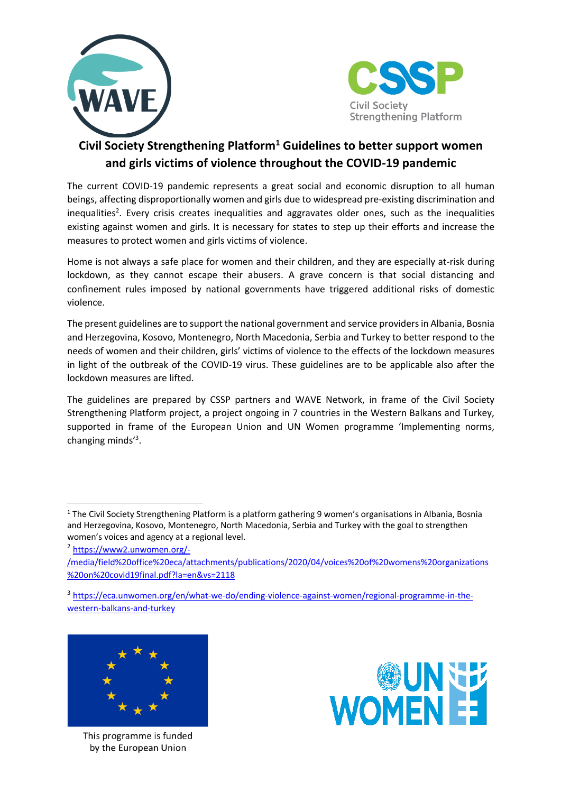



## **Civil Society Strengthening Platform1 Guidelines to better support women and girls victims of violence throughout the COVID-19 pandemic**

The current COVID-19 pandemic represents a great social and economic disruption to all human beings, affecting disproportionally women and girls due to widespread pre-existing discrimination and inequalities<sup>2</sup>. Every crisis creates inequalities and aggravates older ones, such as the inequalities existing against women and girls. It is necessary for states to step up their efforts and increase the measures to protect women and girls victims of violence.

Home is not always a safe place for women and their children, and they are especially at-risk during lockdown, as they cannot escape their abusers. A grave concern is that social distancing and confinement rules imposed by national governments have triggered additional risks of domestic violence.

The present guidelines are to support the national government and service providers in Albania, Bosnia and Herzegovina, Kosovo, Montenegro, North Macedonia, Serbia and Turkey to better respond to the needs of women and their children, girls' victims of violence to the effects of the lockdown measures in light of the outbreak of the COVID-19 virus. These guidelines are to be applicable also after the lockdown measures are lifted.

The guidelines are prepared by CSSP partners and WAVE Network, in frame of the Civil Society Strengthening Platform project, a project ongoing in 7 countries in the Western Balkans and Turkey, supported in frame of the European Union and UN Women programme 'Implementing norms, changing minds'<sup>3</sup>.

<sup>3</sup> https://eca.unwomen.org/en/what-we-do/ending-violence-against-women/regional-programme-in-thewestern-balkans-and-turkey



This programme is funded by the European Union



<sup>1</sup> The Civil Society Strengthening Platform is a platform gathering 9 women's organisations in Albania, Bosnia and Herzegovina, Kosovo, Montenegro, North Macedonia, Serbia and Turkey with the goal to strengthen women's voices and agency at a regional level.

<sup>2</sup> https://www2.unwomen.org/-

<sup>/</sup>media/field%20office%20eca/attachments/publications/2020/04/voices%20of%20womens%20organizations %20on%20covid19final.pdf?la=en&vs=2118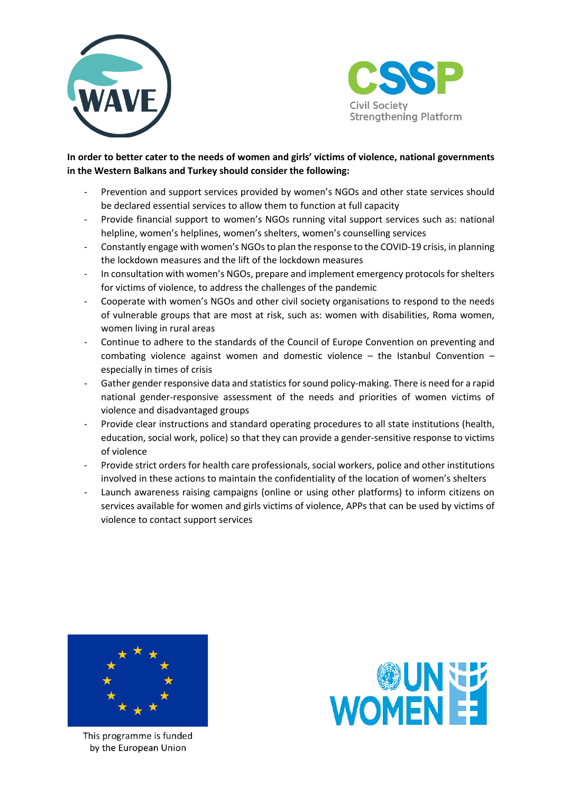



## **In order to better cater to the needs of women and girls' victims of violence, national governments in the Western Balkans and Turkey should consider the following:**

- Prevention and support services provided by women's NGOs and other state services should be declared essential services to allow them to function at full capacity
- Provide financial support to women's NGOs running vital support services such as: national helpline, women's helplines, women's shelters, women's counselling services
- Constantly engage with women's NGOs to plan the response to the COVID-19 crisis, in planning the lockdown measures and the lift of the lockdown measures
- In consultation with women's NGOs, prepare and implement emergency protocols for shelters for victims of violence, to address the challenges of the pandemic
- Cooperate with women's NGOs and other civil society organisations to respond to the needs of vulnerable groups that are most at risk, such as: women with disabilities, Roma women, women living in rural areas
- Continue to adhere to the standards of the Council of Europe Convention on preventing and combating violence against women and domestic violence  $-$  the Istanbul Convention  $$ especially in times of crisis
- Gather gender responsive data and statistics for sound policy-making. There is need for a rapid national gender-responsive assessment of the needs and priorities of women victims of violence and disadvantaged groups
- Provide clear instructions and standard operating procedures to all state institutions (health, education, social work, police) so that they can provide a gender-sensitive response to victims of violence
- Provide strict orders for health care professionals, social workers, police and other institutions involved in these actions to maintain the confidentiality of the location of women's shelters
- Launch awareness raising campaigns (online or using other platforms) to inform citizens on services available for women and girls victims of violence, APPs that can be used by victims of violence to contact support services



This programme is funded by the European Union